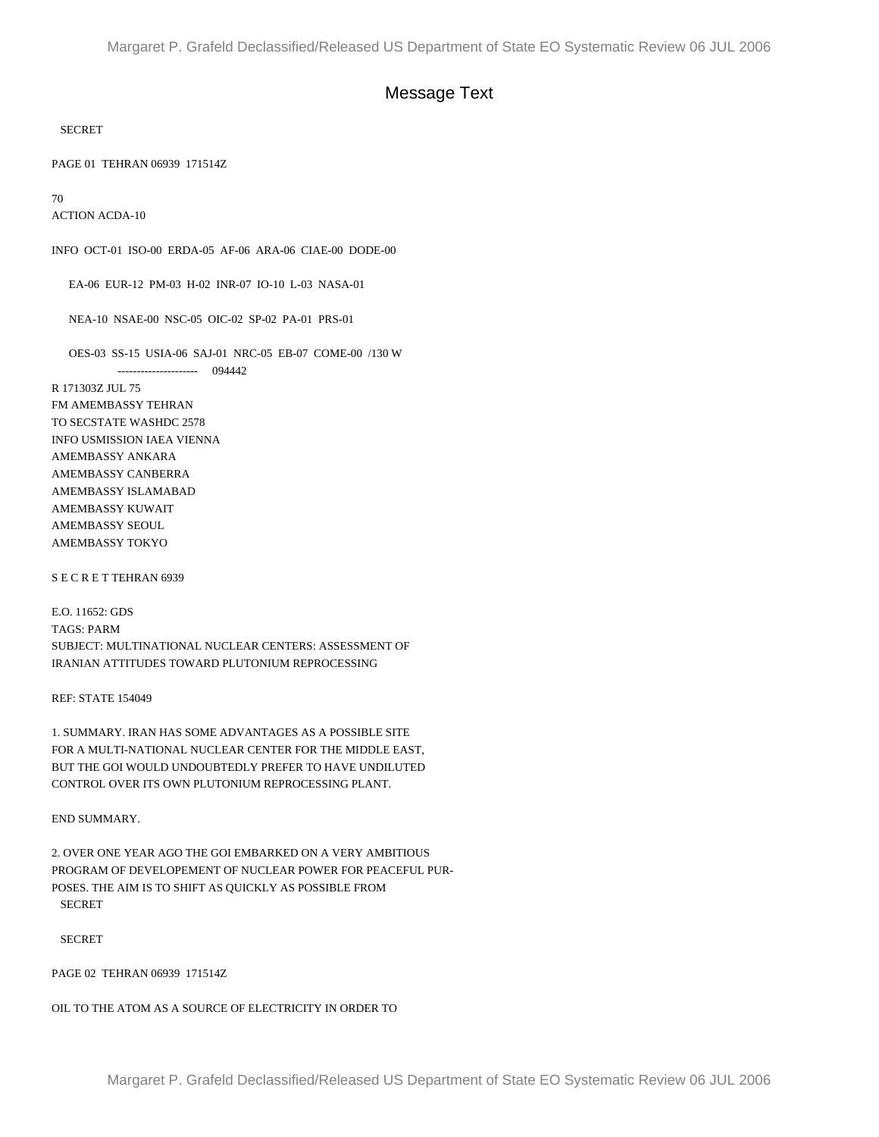## Message Text

## SECRET

PAGE 01 TEHRAN 06939 171514Z

70

ACTION ACDA-10

INFO OCT-01 ISO-00 ERDA-05 AF-06 ARA-06 CIAE-00 DODE-00

EA-06 EUR-12 PM-03 H-02 INR-07 IO-10 L-03 NASA-01

NEA-10 NSAE-00 NSC-05 OIC-02 SP-02 PA-01 PRS-01

OES-03 SS-15 USIA-06 SAJ-01 NRC-05 EB-07 COME-00 /130 W

--------------------- 094442

R 171303Z JUL 75 FM AMEMBASSY TEHRAN TO SECSTATE WASHDC 2578 INFO USMISSION IAEA VIENNA AMEMBASSY ANKARA AMEMBASSY CANBERRA AMEMBASSY ISLAMABAD AMEMBASSY KUWAIT AMEMBASSY SEOUL AMEMBASSY TOKYO

S E C R E T TEHRAN 6939

E.O. 11652: GDS TAGS: PARM SUBJECT: MULTINATIONAL NUCLEAR CENTERS: ASSESSMENT OF IRANIAN ATTITUDES TOWARD PLUTONIUM REPROCESSING

REF: STATE 154049

1. SUMMARY. IRAN HAS SOME ADVANTAGES AS A POSSIBLE SITE FOR A MULTI-NATIONAL NUCLEAR CENTER FOR THE MIDDLE EAST, BUT THE GOI WOULD UNDOUBTEDLY PREFER TO HAVE UNDILUTED CONTROL OVER ITS OWN PLUTONIUM REPROCESSING PLANT.

END SUMMARY.

2. OVER ONE YEAR AGO THE GOI EMBARKED ON A VERY AMBITIOUS PROGRAM OF DEVELOPEMENT OF NUCLEAR POWER FOR PEACEFUL PUR-POSES. THE AIM IS TO SHIFT AS QUICKLY AS POSSIBLE FROM SECRET

SECRET

PAGE 02 TEHRAN 06939 171514Z

OIL TO THE ATOM AS A SOURCE OF ELECTRICITY IN ORDER TO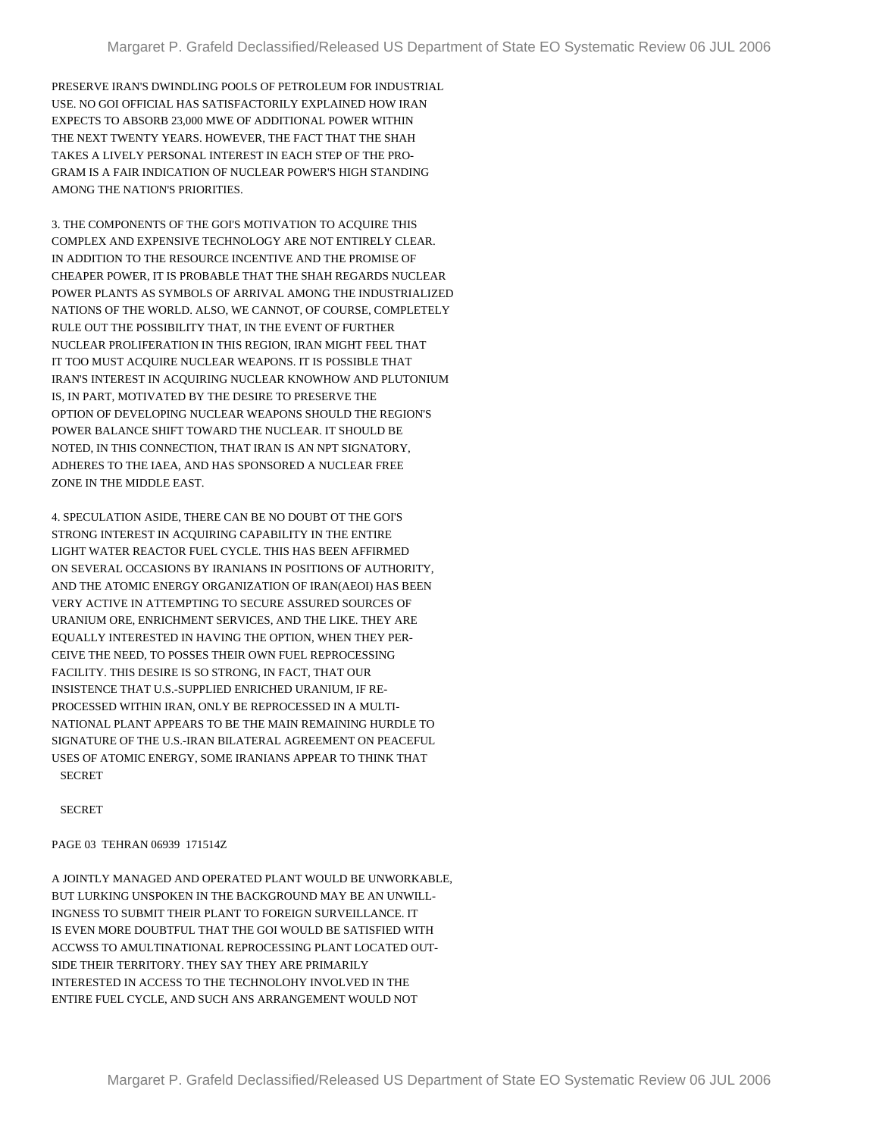PRESERVE IRAN'S DWINDLING POOLS OF PETROLEUM FOR INDUSTRIAL USE. NO GOI OFFICIAL HAS SATISFACTORILY EXPLAINED HOW IRAN EXPECTS TO ABSORB 23,000 MWE OF ADDITIONAL POWER WITHIN THE NEXT TWENTY YEARS. HOWEVER, THE FACT THAT THE SHAH TAKES A LIVELY PERSONAL INTEREST IN EACH STEP OF THE PRO-GRAM IS A FAIR INDICATION OF NUCLEAR POWER'S HIGH STANDING AMONG THE NATION'S PRIORITIES.

3. THE COMPONENTS OF THE GOI'S MOTIVATION TO ACQUIRE THIS COMPLEX AND EXPENSIVE TECHNOLOGY ARE NOT ENTIRELY CLEAR. IN ADDITION TO THE RESOURCE INCENTIVE AND THE PROMISE OF CHEAPER POWER, IT IS PROBABLE THAT THE SHAH REGARDS NUCLEAR POWER PLANTS AS SYMBOLS OF ARRIVAL AMONG THE INDUSTRIALIZED NATIONS OF THE WORLD. ALSO, WE CANNOT, OF COURSE, COMPLETELY RULE OUT THE POSSIBILITY THAT, IN THE EVENT OF FURTHER NUCLEAR PROLIFERATION IN THIS REGION, IRAN MIGHT FEEL THAT IT TOO MUST ACQUIRE NUCLEAR WEAPONS. IT IS POSSIBLE THAT IRAN'S INTEREST IN ACQUIRING NUCLEAR KNOWHOW AND PLUTONIUM IS, IN PART, MOTIVATED BY THE DESIRE TO PRESERVE THE OPTION OF DEVELOPING NUCLEAR WEAPONS SHOULD THE REGION'S POWER BALANCE SHIFT TOWARD THE NUCLEAR. IT SHOULD BE NOTED, IN THIS CONNECTION, THAT IRAN IS AN NPT SIGNATORY, ADHERES TO THE IAEA, AND HAS SPONSORED A NUCLEAR FREE ZONE IN THE MIDDLE EAST.

4. SPECULATION ASIDE, THERE CAN BE NO DOUBT OT THE GOI'S STRONG INTEREST IN ACQUIRING CAPABILITY IN THE ENTIRE LIGHT WATER REACTOR FUEL CYCLE. THIS HAS BEEN AFFIRMED ON SEVERAL OCCASIONS BY IRANIANS IN POSITIONS OF AUTHORITY, AND THE ATOMIC ENERGY ORGANIZATION OF IRAN(AEOI) HAS BEEN VERY ACTIVE IN ATTEMPTING TO SECURE ASSURED SOURCES OF URANIUM ORE, ENRICHMENT SERVICES, AND THE LIKE. THEY ARE EQUALLY INTERESTED IN HAVING THE OPTION, WHEN THEY PER-CEIVE THE NEED, TO POSSES THEIR OWN FUEL REPROCESSING FACILITY. THIS DESIRE IS SO STRONG, IN FACT, THAT OUR INSISTENCE THAT U.S.-SUPPLIED ENRICHED URANIUM, IF RE-PROCESSED WITHIN IRAN, ONLY BE REPROCESSED IN A MULTI-NATIONAL PLANT APPEARS TO BE THE MAIN REMAINING HURDLE TO SIGNATURE OF THE U.S.-IRAN BILATERAL AGREEMENT ON PEACEFUL USES OF ATOMIC ENERGY, SOME IRANIANS APPEAR TO THINK THAT **SECRET** 

**SECRET** 

PAGE 03 TEHRAN 06939 171514Z

A JOINTLY MANAGED AND OPERATED PLANT WOULD BE UNWORKABLE, BUT LURKING UNSPOKEN IN THE BACKGROUND MAY BE AN UNWILL-INGNESS TO SUBMIT THEIR PLANT TO FOREIGN SURVEILLANCE. IT IS EVEN MORE DOUBTFUL THAT THE GOI WOULD BE SATISFIED WITH ACCWSS TO AMULTINATIONAL REPROCESSING PLANT LOCATED OUT-SIDE THEIR TERRITORY. THEY SAY THEY ARE PRIMARILY INTERESTED IN ACCESS TO THE TECHNOLOHY INVOLVED IN THE ENTIRE FUEL CYCLE, AND SUCH ANS ARRANGEMENT WOULD NOT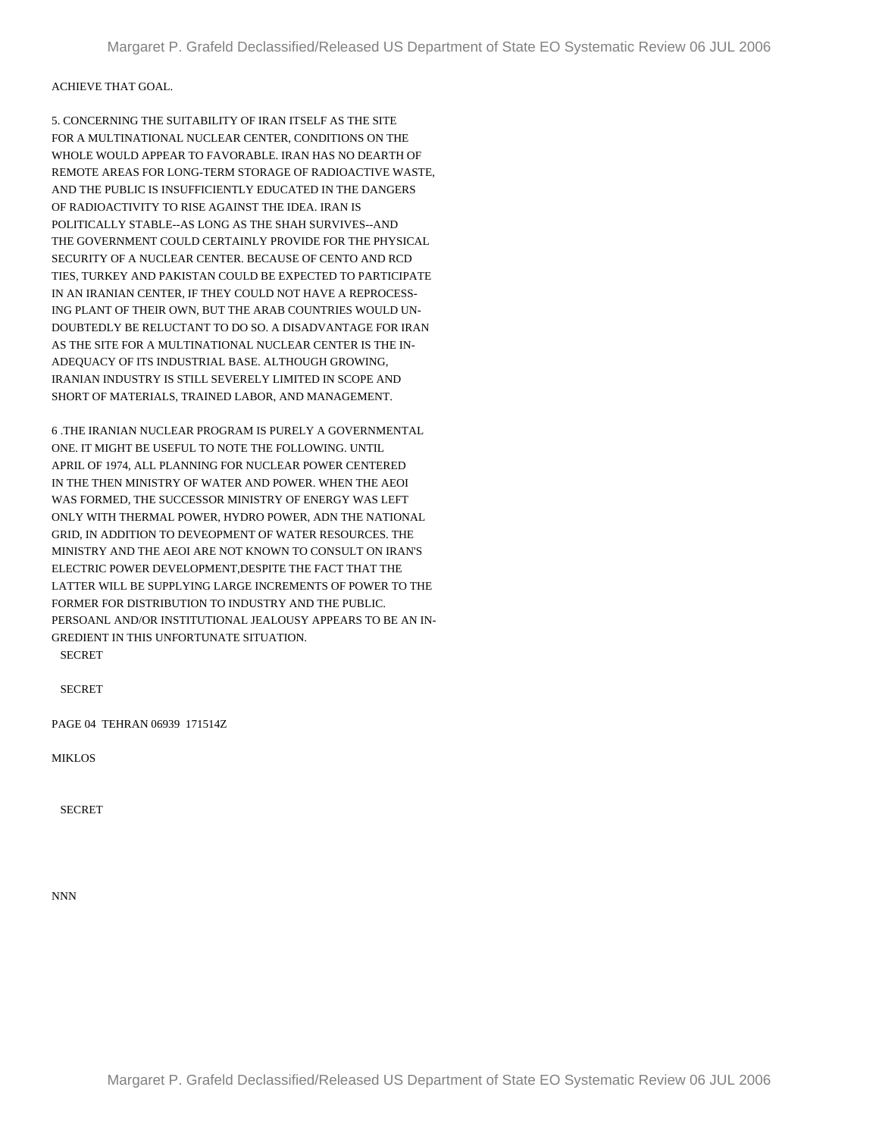## ACHIEVE THAT GOAL.

5. CONCERNING THE SUITABILITY OF IRAN ITSELF AS THE SITE FOR A MULTINATIONAL NUCLEAR CENTER, CONDITIONS ON THE WHOLE WOULD APPEAR TO FAVORABLE. IRAN HAS NO DEARTH OF REMOTE AREAS FOR LONG-TERM STORAGE OF RADIOACTIVE WASTE, AND THE PUBLIC IS INSUFFICIENTLY EDUCATED IN THE DANGERS OF RADIOACTIVITY TO RISE AGAINST THE IDEA. IRAN IS POLITICALLY STABLE--AS LONG AS THE SHAH SURVIVES--AND THE GOVERNMENT COULD CERTAINLY PROVIDE FOR THE PHYSICAL SECURITY OF A NUCLEAR CENTER. BECAUSE OF CENTO AND RCD TIES, TURKEY AND PAKISTAN COULD BE EXPECTED TO PARTICIPATE IN AN IRANIAN CENTER, IF THEY COULD NOT HAVE A REPROCESS-ING PLANT OF THEIR OWN, BUT THE ARAB COUNTRIES WOULD UN-DOUBTEDLY BE RELUCTANT TO DO SO. A DISADVANTAGE FOR IRAN AS THE SITE FOR A MULTINATIONAL NUCLEAR CENTER IS THE IN-ADEQUACY OF ITS INDUSTRIAL BASE. ALTHOUGH GROWING, IRANIAN INDUSTRY IS STILL SEVERELY LIMITED IN SCOPE AND SHORT OF MATERIALS, TRAINED LABOR, AND MANAGEMENT.

6 .THE IRANIAN NUCLEAR PROGRAM IS PURELY A GOVERNMENTAL ONE. IT MIGHT BE USEFUL TO NOTE THE FOLLOWING. UNTIL APRIL OF 1974, ALL PLANNING FOR NUCLEAR POWER CENTERED IN THE THEN MINISTRY OF WATER AND POWER. WHEN THE AEOI WAS FORMED, THE SUCCESSOR MINISTRY OF ENERGY WAS LEFT ONLY WITH THERMAL POWER, HYDRO POWER, ADN THE NATIONAL GRID, IN ADDITION TO DEVEOPMENT OF WATER RESOURCES. THE MINISTRY AND THE AEOI ARE NOT KNOWN TO CONSULT ON IRAN'S ELECTRIC POWER DEVELOPMENT,DESPITE THE FACT THAT THE LATTER WILL BE SUPPLYING LARGE INCREMENTS OF POWER TO THE FORMER FOR DISTRIBUTION TO INDUSTRY AND THE PUBLIC. PERSOANL AND/OR INSTITUTIONAL JEALOUSY APPEARS TO BE AN IN-GREDIENT IN THIS UNFORTUNATE SITUATION. SECRET

SECRET

PAGE 04 TEHRAN 06939 171514Z

MIKLOS

**SECRET** 

NNN